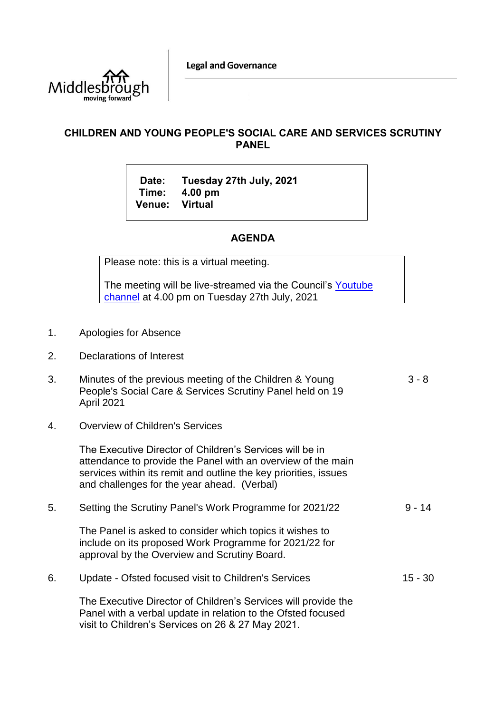

## **CHILDREN AND YOUNG PEOPLE'S SOCIAL CARE AND SERVICES SCRUTINY PANEL**

**Date: Tuesday 27th July, 2021 Time: 4.00 pm Venue: Virtual**

## **AGENDA**

Please note: this is a virtual meeting.

The meeting will be live-streamed via the Council's [Youtube](https://www.youtube.com/user/middlesboroughcouncil)  [channel](https://www.youtube.com/user/middlesboroughcouncil) at 4.00 pm on Tuesday 27th July, 2021

- 1. Apologies for Absence
- 2. Declarations of Interest
- 3. Minutes of the previous meeting of the Children & Young People's Social Care & Services Scrutiny Panel held on 19 April 2021 3 - 8
- 4. Overview of Children's Services

The Executive Director of Children's Services will be in attendance to provide the Panel with an overview of the main services within its remit and outline the key priorities, issues and challenges for the year ahead. (Verbal)

- 5. Setting the Scrutiny Panel's Work Programme for 2021/22 The Panel is asked to consider which topics it wishes to include on its proposed Work Programme for 2021/22 for approval by the Overview and Scrutiny Board.  $9 - 14$
- 6. Update Ofsted focused visit to Children's Services The Executive Director of Children's Services will provide the Panel with a verbal update in relation to the Ofsted focused 15 - 30

visit to Children's Services on 26 & 27 May 2021.